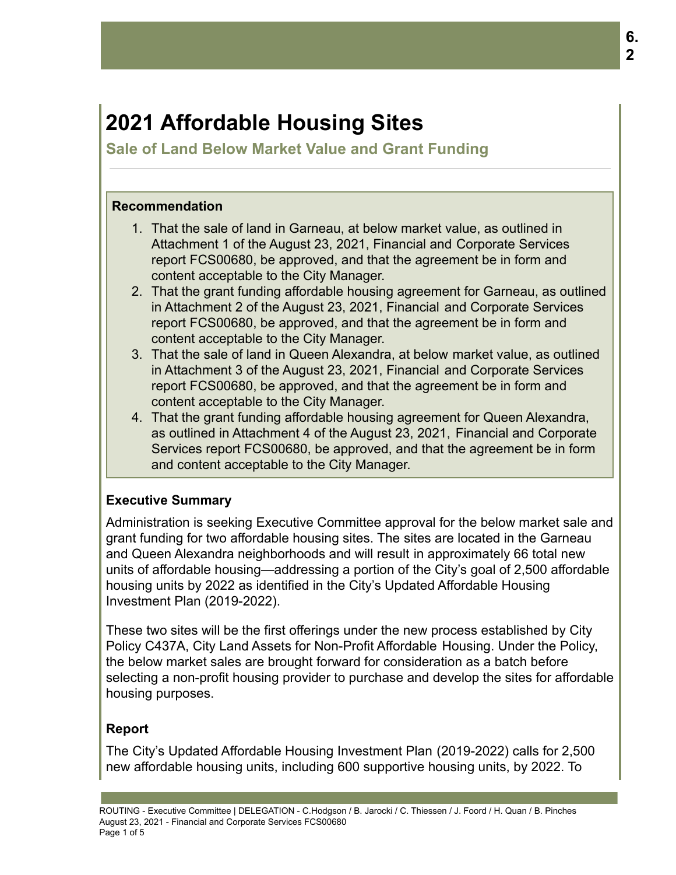# **2021 Affordable Housing Sites**

**Sale of Land Below Market Value and Grant Funding**

### **Recommendation**

- 1. That the sale of land in Garneau, at below market value, as outlined in Attachment 1 of the August 23, 2021, Financial and Corporate Services report FCS00680, be approved, and that the agreement be in form and content acceptable to the City Manager.
- 2. That the grant funding affordable housing agreement for Garneau, as outlined in Attachment 2 of the August 23, 2021, Financial and Corporate Services report FCS00680, be approved, and that the agreement be in form and content acceptable to the City Manager.
- 3. That the sale of land in Queen Alexandra, at below market value, as outlined in Attachment 3 of the August 23, 2021, Financial and Corporate Services report FCS00680, be approved, and that the agreement be in form and content acceptable to the City Manager.
- 4. That the grant funding affordable housing agreement for Queen Alexandra, as outlined in Attachment 4 of the August 23, 2021, Financial and Corporate Services report FCS00680, be approved, and that the agreement be in form and content acceptable to the City Manager.

# **Executive Summary**

Administration is seeking Executive Committee approval for the below market sale and grant funding for two affordable housing sites. The sites are located in the Garneau and Queen Alexandra neighborhoods and will result in approximately 66 total new units of affordable housing—addressing a portion of the City's goal of 2,500 affordable housing units by 2022 as identified in the City's Updated Affordable Housing Investment Plan (2019-2022).

These two sites will be the first offerings under the new process established by City Policy C437A, City Land Assets for Non-Profit Affordable Housing. Under the Policy, the below market sales are brought forward for consideration as a batch before selecting a non-profit housing provider to purchase and develop the sites for affordable housing purposes.

# **Report**

The City's Updated Affordable Housing Investment Plan (2019-2022) calls for 2,500 new affordable housing units, including 600 supportive housing units, by 2022. To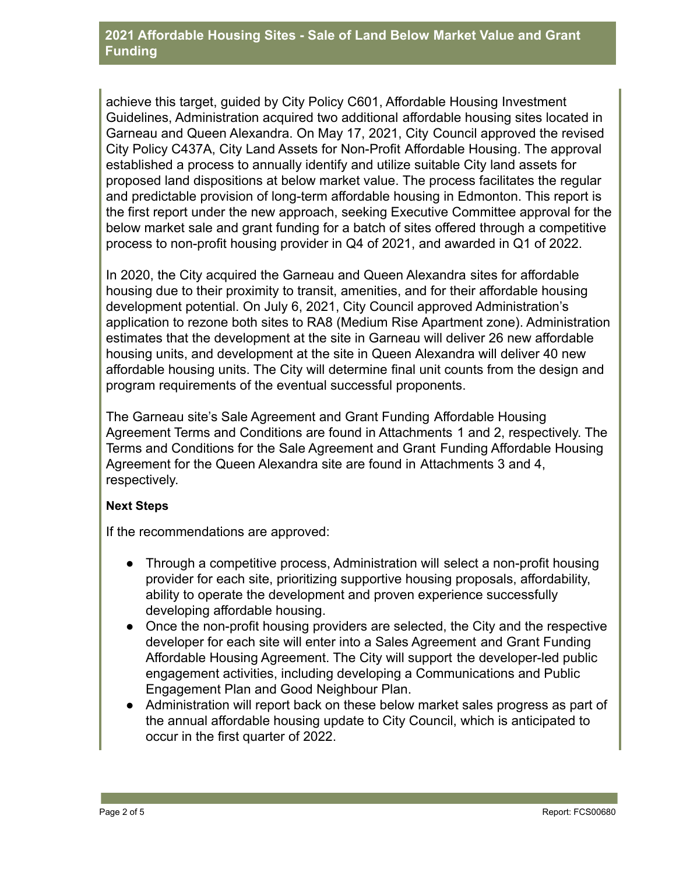#### **2021 Affordable Housing Sites - Sale of Land Below Market Value and Grant Funding**

achieve this target, guided by City Policy C601, Affordable Housing Investment Guidelines, Administration acquired two additional affordable housing sites located in Garneau and Queen Alexandra. On May 17, 2021, City Council approved the revised City Policy C437A, City Land Assets for Non-Profit Affordable Housing. The approval established a process to annually identify and utilize suitable City land assets for proposed land dispositions at below market value. The process facilitates the regular and predictable provision of long-term affordable housing in Edmonton. This report is the first report under the new approach, seeking Executive Committee approval for the below market sale and grant funding for a batch of sites offered through a competitive process to non-profit housing provider in Q4 of 2021, and awarded in Q1 of 2022.

In 2020, the City acquired the Garneau and Queen Alexandra sites for affordable housing due to their proximity to transit, amenities, and for their affordable housing development potential. On July 6, 2021, City Council approved Administration's application to rezone both sites to RA8 (Medium Rise Apartment zone). Administration estimates that the development at the site in Garneau will deliver 26 new affordable housing units, and development at the site in Queen Alexandra will deliver 40 new affordable housing units. The City will determine final unit counts from the design and program requirements of the eventual successful proponents.

The Garneau site's Sale Agreement and Grant Funding Affordable Housing Agreement Terms and Conditions are found in Attachments 1 and 2, respectively. The Terms and Conditions for the Sale Agreement and Grant Funding Affordable Housing Agreement for the Queen Alexandra site are found in Attachments 3 and 4, respectively.

#### **Next Steps**

If the recommendations are approved:

- Through a competitive process, Administration will select a non-profit housing provider for each site, prioritizing supportive housing proposals, affordability, ability to operate the development and proven experience successfully developing affordable housing.
- Once the non-profit housing providers are selected, the City and the respective developer for each site will enter into a Sales Agreement and Grant Funding Affordable Housing Agreement. The City will support the developer-led public engagement activities, including developing a Communications and Public Engagement Plan and Good Neighbour Plan.
- Administration will report back on these below market sales progress as part of the annual affordable housing update to City Council, which is anticipated to occur in the first quarter of 2022.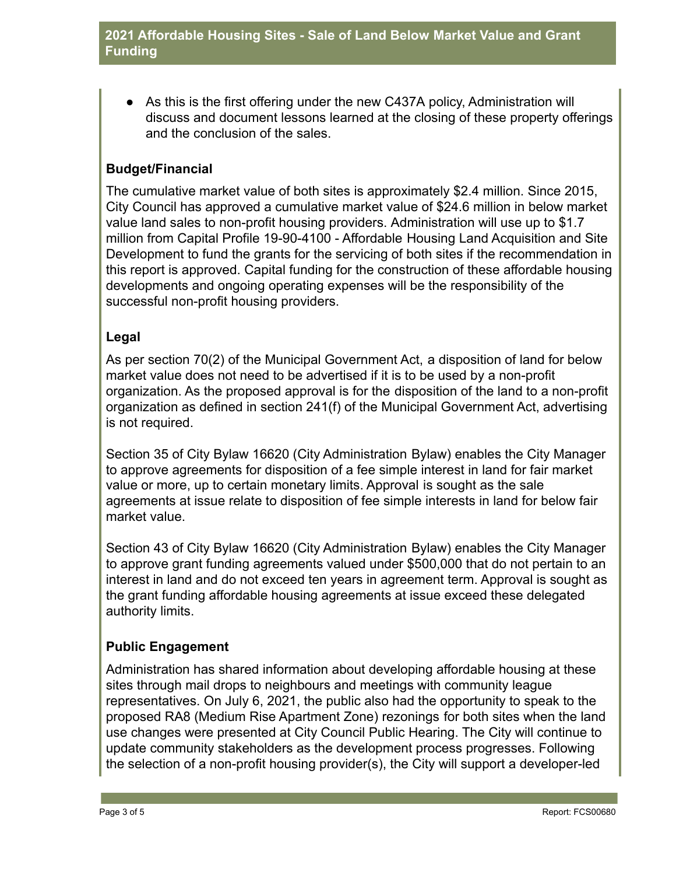● As this is the first offering under the new C437A policy, Administration will discuss and document lessons learned at the closing of these property offerings and the conclusion of the sales.

# **Budget/Financial**

The cumulative market value of both sites is approximately \$2.4 million. Since 2015, City Council has approved a cumulative market value of \$24.6 million in below market value land sales to non-profit housing providers. Administration will use up to \$1.7 million from Capital Profile 19-90-4100 - Affordable Housing Land Acquisition and Site Development to fund the grants for the servicing of both sites if the recommendation in this report is approved. Capital funding for the construction of these affordable housing developments and ongoing operating expenses will be the responsibility of the successful non-profit housing providers.

## **Legal**

As per section 70(2) of the Municipal Government Act, a disposition of land for below market value does not need to be advertised if it is to be used by a non-profit organization. As the proposed approval is for the disposition of the land to a non-profit organization as defined in section 241(f) of the Municipal Government Act, advertising is not required.

Section 35 of City Bylaw 16620 (City Administration Bylaw) enables the City Manager to approve agreements for disposition of a fee simple interest in land for fair market value or more, up to certain monetary limits. Approval is sought as the sale agreements at issue relate to disposition of fee simple interests in land for below fair market value.

Section 43 of City Bylaw 16620 (City Administration Bylaw) enables the City Manager to approve grant funding agreements valued under \$500,000 that do not pertain to an interest in land and do not exceed ten years in agreement term. Approval is sought as the grant funding affordable housing agreements at issue exceed these delegated authority limits.

# **Public Engagement**

Administration has shared information about developing affordable housing at these sites through mail drops to neighbours and meetings with community league representatives. On July 6, 2021, the public also had the opportunity to speak to the proposed RA8 (Medium Rise Apartment Zone) rezonings for both sites when the land use changes were presented at City Council Public Hearing. The City will continue to update community stakeholders as the development process progresses. Following the selection of a non-profit housing provider(s), the City will support a developer-led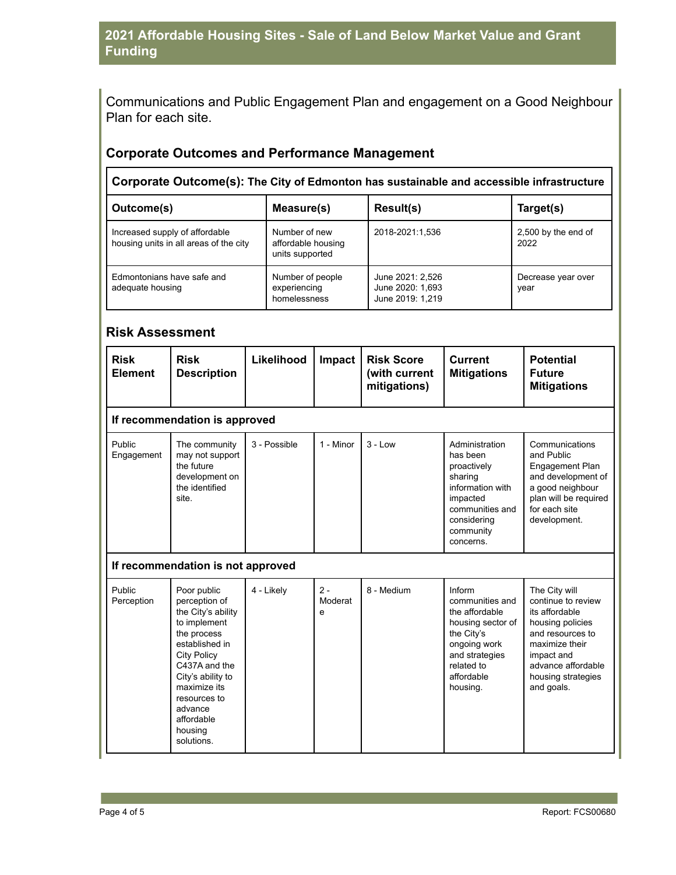# **2021 Affordable Housing Sites - Sale of Land Below Market Value and Grant Funding**

Communications and Public Engagement Plan and engagement on a Good Neighbour Plan for each site.

### **Corporate Outcomes and Performance Management**

**Corporate Outcome(s): The City of Edmonton has sustainable and accessible infrastructure**

| Outcome(s)                                                               | Measure(s)                                                                | <b>Result(s)</b> | Target(s)                   |
|--------------------------------------------------------------------------|---------------------------------------------------------------------------|------------------|-----------------------------|
| Increased supply of affordable<br>housing units in all areas of the city | Number of new<br>2018-2021:1,536<br>affordable housing<br>units supported |                  | 2,500 by the end of<br>2022 |
| Edmontonians have safe and<br>adequate housing                           | Number of people<br>experiencing<br>homelessness                          |                  | Decrease year over<br>year  |

#### **Risk Assessment**

| <b>Risk</b><br><b>Element</b>     | <b>Risk</b><br><b>Description</b>                                                                                                                                                                                                                 | Likelihood   | Impact                | <b>Risk Score</b><br>(with current<br>mitigations) | <b>Current</b><br><b>Mitigations</b>                                                                                                                     | <b>Potential</b><br><b>Future</b><br><b>Mitigations</b>                                                                                                                                 |  |  |  |
|-----------------------------------|---------------------------------------------------------------------------------------------------------------------------------------------------------------------------------------------------------------------------------------------------|--------------|-----------------------|----------------------------------------------------|----------------------------------------------------------------------------------------------------------------------------------------------------------|-----------------------------------------------------------------------------------------------------------------------------------------------------------------------------------------|--|--|--|
|                                   | If recommendation is approved                                                                                                                                                                                                                     |              |                       |                                                    |                                                                                                                                                          |                                                                                                                                                                                         |  |  |  |
| Public<br>Engagement              | The community<br>may not support<br>the future<br>development on<br>the identified<br>site.                                                                                                                                                       | 3 - Possible | 1 - Minor             | $3 - Low$                                          | Administration<br>has been<br>proactively<br>sharing<br>information with<br>impacted<br>communities and<br>considering<br>community<br>concerns.         | Communications<br>and Public<br>Engagement Plan<br>and development of<br>a good neighbour<br>plan will be required<br>for each site<br>development.                                     |  |  |  |
| If recommendation is not approved |                                                                                                                                                                                                                                                   |              |                       |                                                    |                                                                                                                                                          |                                                                                                                                                                                         |  |  |  |
| Public<br>Perception              | Poor public<br>perception of<br>the City's ability<br>to implement<br>the process<br>established in<br><b>City Policy</b><br>C437A and the<br>City's ability to<br>maximize its<br>resources to<br>advance<br>affordable<br>housing<br>solutions. | 4 - Likely   | $2 -$<br>Moderat<br>e | 8 - Medium                                         | Inform<br>communities and<br>the affordable<br>housing sector of<br>the City's<br>ongoing work<br>and strategies<br>related to<br>affordable<br>housing. | The City will<br>continue to review<br>its affordable<br>housing policies<br>and resources to<br>maximize their<br>impact and<br>advance affordable<br>housing strategies<br>and goals. |  |  |  |